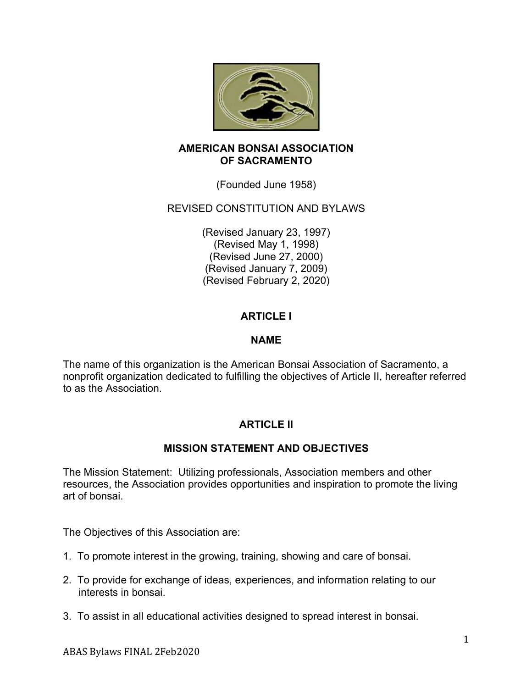

#### **AMERICAN BONSAI ASSOCIATION OF SACRAMENTO**

(Founded June 1958)

## REVISED CONSTITUTION AND BYLAWS

(Revised January 23, 1997) (Revised May 1, 1998) (Revised June 27, 2000) (Revised January 7, 2009) (Revised February 2, 2020)

# **ARTICLE I**

#### **NAME**

The name of this organization is the American Bonsai Association of Sacramento, a nonprofit organization dedicated to fulfilling the objectives of Article II, hereafter referred to as the Association.

# **ARTICLE II**

### **MISSION STATEMENT AND OBJECTIVES**

The Mission Statement: Utilizing professionals, Association members and other resources, the Association provides opportunities and inspiration to promote the living art of bonsai.

The Objectives of this Association are:

- 1. To promote interest in the growing, training, showing and care of bonsai.
- 2. To provide for exchange of ideas, experiences, and information relating to our interests in bonsai.
- 3. To assist in all educational activities designed to spread interest in bonsai.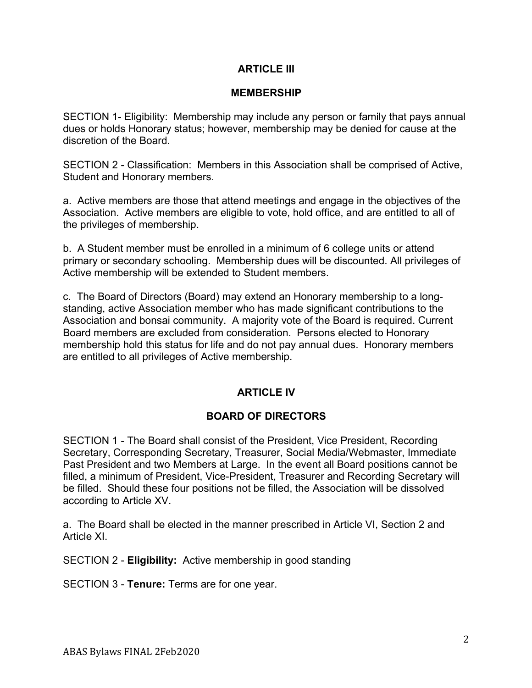### **ARTICLE III**

#### **MEMBERSHIP**

SECTION 1- Eligibility: Membership may include any person or family that pays annual dues or holds Honorary status; however, membership may be denied for cause at the discretion of the Board.

SECTION 2 - Classification: Members in this Association shall be comprised of Active, Student and Honorary members.

a. Active members are those that attend meetings and engage in the objectives of the Association. Active members are eligible to vote, hold office, and are entitled to all of the privileges of membership.

b. A Student member must be enrolled in a minimum of 6 college units or attend primary or secondary schooling. Membership dues will be discounted. All privileges of Active membership will be extended to Student members.

c. The Board of Directors (Board) may extend an Honorary membership to a longstanding, active Association member who has made significant contributions to the Association and bonsai community. A majority vote of the Board is required. Current Board members are excluded from consideration. Persons elected to Honorary membership hold this status for life and do not pay annual dues. Honorary members are entitled to all privileges of Active membership.

### **ARTICLE IV**

#### **BOARD OF DIRECTORS**

SECTION 1 - The Board shall consist of the President, Vice President, Recording Secretary, Corresponding Secretary, Treasurer, Social Media/Webmaster, Immediate Past President and two Members at Large. In the event all Board positions cannot be filled, a minimum of President, Vice-President, Treasurer and Recording Secretary will be filled. Should these four positions not be filled, the Association will be dissolved according to Article XV.

a. The Board shall be elected in the manner prescribed in Article VI, Section 2 and Article XI.

SECTION 2 - **Eligibility:** Active membership in good standing

SECTION 3 - **Tenure:** Terms are for one year.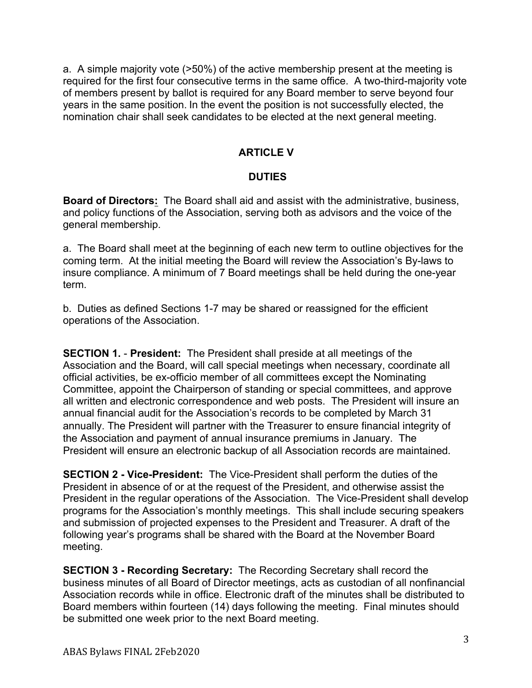a. A simple majority vote (>50%) of the active membership present at the meeting is required for the first four consecutive terms in the same office. A two-third-majority vote of members present by ballot is required for any Board member to serve beyond four years in the same position. In the event the position is not successfully elected, the nomination chair shall seek candidates to be elected at the next general meeting.

## **ARTICLE V**

## **DUTIES**

**Board of Directors:** The Board shall aid and assist with the administrative, business, and policy functions of the Association, serving both as advisors and the voice of the general membership.

a. The Board shall meet at the beginning of each new term to outline objectives for the coming term. At the initial meeting the Board will review the Association's By-laws to insure compliance. A minimum of 7 Board meetings shall be held during the one-year term.

b. Duties as defined Sections 1-7 may be shared or reassigned for the efficient operations of the Association.

**SECTION 1.** - **President:** The President shall preside at all meetings of the Association and the Board, will call special meetings when necessary, coordinate all official activities, be ex-officio member of all committees except the Nominating Committee, appoint the Chairperson of standing or special committees, and approve all written and electronic correspondence and web posts. The President will insure an annual financial audit for the Association's records to be completed by March 31 annually. The President will partner with the Treasurer to ensure financial integrity of the Association and payment of annual insurance premiums in January. The President will ensure an electronic backup of all Association records are maintained.

**SECTION 2 - Vice-President:** The Vice-President shall perform the duties of the President in absence of or at the request of the President, and otherwise assist the President in the regular operations of the Association. The Vice-President shall develop programs for the Association's monthly meetings. This shall include securing speakers and submission of projected expenses to the President and Treasurer. A draft of the following year's programs shall be shared with the Board at the November Board meeting.

**SECTION 3 - Recording Secretary:** The Recording Secretary shall record the business minutes of all Board of Director meetings, acts as custodian of all nonfinancial Association records while in office. Electronic draft of the minutes shall be distributed to Board members within fourteen (14) days following the meeting. Final minutes should be submitted one week prior to the next Board meeting.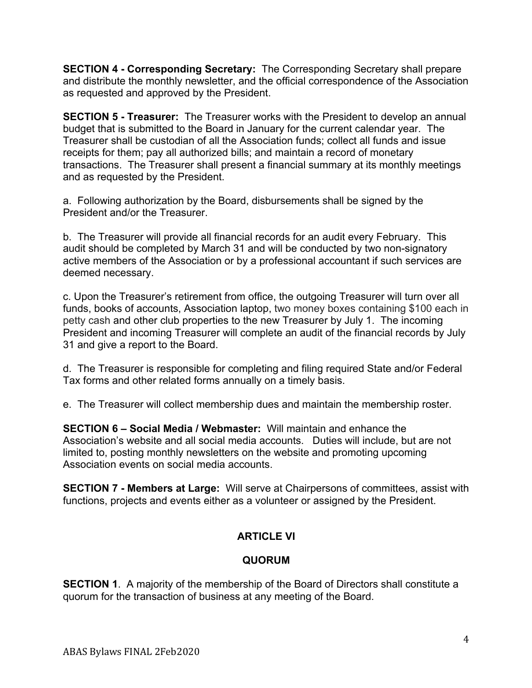**SECTION 4 - Corresponding Secretary:** The Corresponding Secretary shall prepare and distribute the monthly newsletter, and the official correspondence of the Association as requested and approved by the President.

**SECTION 5 - Treasurer:** The Treasurer works with the President to develop an annual budget that is submitted to the Board in January for the current calendar year. The Treasurer shall be custodian of all the Association funds; collect all funds and issue receipts for them; pay all authorized bills; and maintain a record of monetary transactions. The Treasurer shall present a financial summary at its monthly meetings and as requested by the President.

a. Following authorization by the Board, disbursements shall be signed by the President and/or the Treasurer.

b. The Treasurer will provide all financial records for an audit every February. This audit should be completed by March 31 and will be conducted by two non-signatory active members of the Association or by a professional accountant if such services are deemed necessary.

c. Upon the Treasurer's retirement from office, the outgoing Treasurer will turn over all funds, books of accounts, Association laptop, two money boxes containing \$100 each in petty cash and other club properties to the new Treasurer by July 1. The incoming President and incoming Treasurer will complete an audit of the financial records by July 31 and give a report to the Board.

d. The Treasurer is responsible for completing and filing required State and/or Federal Tax forms and other related forms annually on a timely basis.

e. The Treasurer will collect membership dues and maintain the membership roster.

**SECTION 6 – Social Media / Webmaster:** Will maintain and enhance the Association's website and all social media accounts. Duties will include, but are not limited to, posting monthly newsletters on the website and promoting upcoming Association events on social media accounts.

**SECTION 7 - Members at Large:** Will serve at Chairpersons of committees, assist with functions, projects and events either as a volunteer or assigned by the President.

# **ARTICLE VI**

# **QUORUM**

**SECTION 1.** A majority of the membership of the Board of Directors shall constitute a quorum for the transaction of business at any meeting of the Board.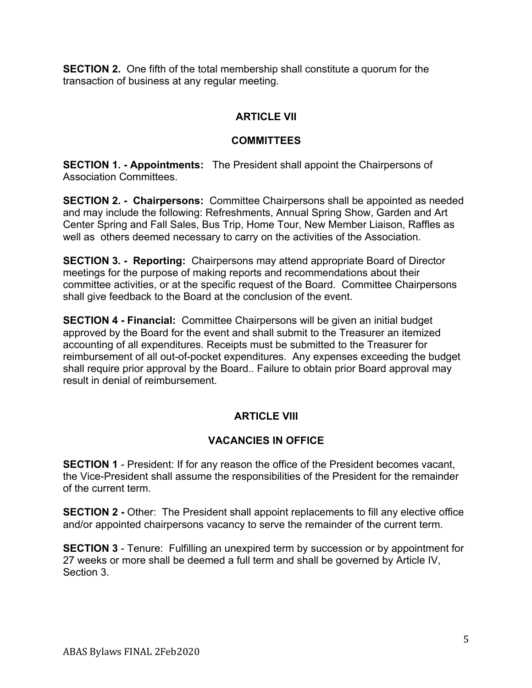**SECTION 2.** One fifth of the total membership shall constitute a quorum for the transaction of business at any regular meeting.

## **ARTICLE VII**

### **COMMITTEES**

**SECTION 1. - Appointments:** The President shall appoint the Chairpersons of Association Committees.

**SECTION 2. - Chairpersons:** Committee Chairpersons shall be appointed as needed and may include the following: Refreshments, Annual Spring Show, Garden and Art Center Spring and Fall Sales, Bus Trip, Home Tour, New Member Liaison, Raffles as well as others deemed necessary to carry on the activities of the Association.

**SECTION 3. - Reporting:** Chairpersons may attend appropriate Board of Director meetings for the purpose of making reports and recommendations about their committee activities, or at the specific request of the Board. Committee Chairpersons shall give feedback to the Board at the conclusion of the event.

**SECTION 4 - Financial:** Committee Chairpersons will be given an initial budget approved by the Board for the event and shall submit to the Treasurer an itemized accounting of all expenditures. Receipts must be submitted to the Treasurer for reimbursement of all out-of-pocket expenditures. Any expenses exceeding the budget shall require prior approval by the Board.. Failure to obtain prior Board approval may result in denial of reimbursement.

# **ARTICLE VIII**

# **VACANCIES IN OFFICE**

**SECTION 1** - President: If for any reason the office of the President becomes vacant, the Vice-President shall assume the responsibilities of the President for the remainder of the current term.

**SECTION 2** - Other: The President shall appoint replacements to fill any elective office and/or appointed chairpersons vacancy to serve the remainder of the current term.

**SECTION 3** - Tenure: Fulfilling an unexpired term by succession or by appointment for 27 weeks or more shall be deemed a full term and shall be governed by Article IV, Section 3.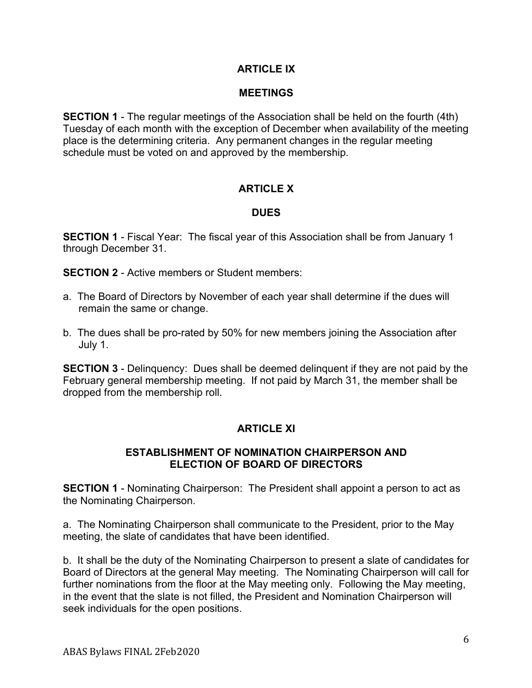### **ARTICLE IX**

#### **MEETINGS**

**SECTION 1** - The regular meetings of the Association shall be held on the fourth (4th) Tuesday of each month with the exception of December when availability of the meeting place is the determining criteria. Any permanent changes in the regular meeting schedule must be voted on and approved by the membership.

### **ARTICLE X**

#### **DUES**

**SECTION 1** - Fiscal Year: The fiscal year of this Association shall be from January 1 through December 31.

**SECTION 2** - Active members or Student members:

- a. The Board of Directors by November of each year shall determine if the dues will remain the same or change.
- b. The dues shall be pro-rated by 50% for new members joining the Association after July 1.

**SECTION 3** - Delinguency: Dues shall be deemed delinguent if they are not paid by the February general membership meeting. If not paid by March 31, the member shall be dropped from the membership roll.

### **ARTICLE XI**

#### **ESTABLISHMENT OF NOMINATION CHAIRPERSON AND ELECTION OF BOARD OF DIRECTORS**

**SECTION 1** - Nominating Chairperson: The President shall appoint a person to act as the Nominating Chairperson.

a. The Nominating Chairperson shall communicate to the President, prior to the May meeting, the slate of candidates that have been identified.

b. It shall be the duty of the Nominating Chairperson to present a slate of candidates for Board of Directors at the general May meeting. The Nominating Chairperson will call for further nominations from the floor at the May meeting only. Following the May meeting, in the event that the slate is not filled, the President and Nomination Chairperson will seek individuals for the open positions.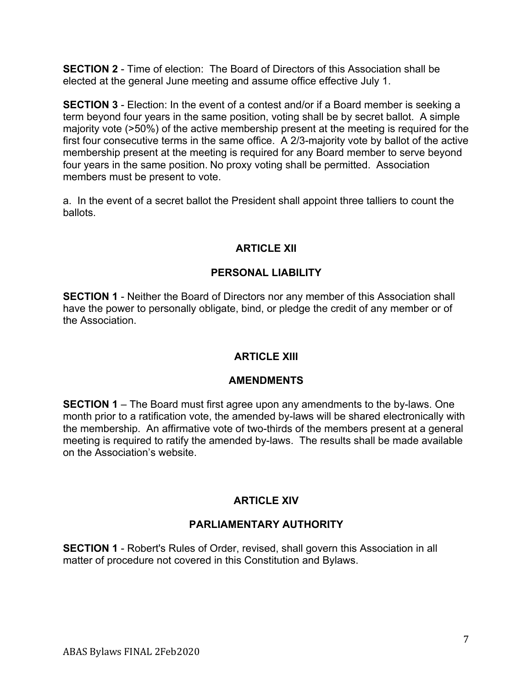**SECTION 2** - Time of election: The Board of Directors of this Association shall be elected at the general June meeting and assume office effective July 1.

**SECTION 3** - Election: In the event of a contest and/or if a Board member is seeking a term beyond four years in the same position, voting shall be by secret ballot. A simple majority vote (>50%) of the active membership present at the meeting is required for the first four consecutive terms in the same office. A 2/3-majority vote by ballot of the active membership present at the meeting is required for any Board member to serve beyond four years in the same position. No proxy voting shall be permitted. Association members must be present to vote.

a. In the event of a secret ballot the President shall appoint three talliers to count the ballots.

# **ARTICLE XII**

## **PERSONAL LIABILITY**

**SECTION 1** - Neither the Board of Directors nor any member of this Association shall have the power to personally obligate, bind, or pledge the credit of any member or of the Association.

### **ARTICLE XIII**

### **AMENDMENTS**

**SECTION 1** – The Board must first agree upon any amendments to the by-laws. One month prior to a ratification vote, the amended by-laws will be shared electronically with the membership. An affirmative vote of two-thirds of the members present at a general meeting is required to ratify the amended by-laws. The results shall be made available on the Association's website.

# **ARTICLE XIV**

# **PARLIAMENTARY AUTHORITY**

**SECTION 1** - Robert's Rules of Order, revised, shall govern this Association in all matter of procedure not covered in this Constitution and Bylaws.